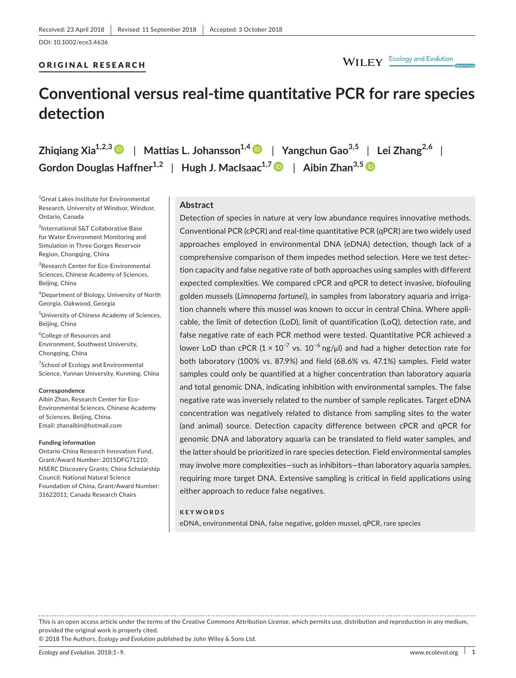# ORIGINAL RESEARCH

# **Conventional versus real‐time quantitative PCR for rare species detection**

| Zhiqiang Xia <sup>1,2,3</sup> D   Mattias L. Johansson <sup>1,4</sup> D   Yangchun Gao <sup>3,5</sup>   Lei Zhang <sup>2,6</sup>                                     |  |  |
|----------------------------------------------------------------------------------------------------------------------------------------------------------------------|--|--|
| Gordon Douglas Haffner <sup>1,2</sup>   Hugh J. MacIsaac <sup>1,7</sup>   Aibin Zhan <sup>3,5</sup>   Gordon Douglas Haffner <sup>1,2</sup>   Gordon Douglas Haffner |  |  |

1 Great Lakes Institute for Environmental Research, University of Windsor, Windsor, Ontario, Canada

2 International S&T Collaborative Base for Water Environment Monitoring and Simulation in Three Gorges Reservoir Region, Chongqing, China

3 Research Center for Eco‐Environmental Sciences, Chinese Academy of Sciences, Beijing, China

4 Department of Biology, University of North Georgia, Oakwood, Georgia

<sup>5</sup>University of Chinese Academy of Sciences, Beijing, China

6 College of Resources and Environment, Southwest University, Chongqing, China

<sup>7</sup>School of Ecology and Environmental Science, Yunnan University, Kunming, China

#### **Correspondence**

Aibin Zhan, Research Center for Eco‐ Environmental Sciences, Chinese Academy of Sciences, Beijing, China. Email: [zhanaibin@hotmail.com](mailto:zhanaibin@hotmail.com)

#### **Funding information**

Ontario‐China Research Innovation Fund, Grant/Award Number: 2015DFG71210; NSERC Discovery Grants; China Scholarship Council; National Natural Science Foundation of China, Grant/Award Number: 31622011; Canada Research Chairs

# **Abstract**

Detection of species in nature at very low abundance requires innovative methods. Conventional PCR (cPCR) and real‐time quantitative PCR (qPCR) are two widely used approaches employed in environmental DNA (eDNA) detection, though lack of a comprehensive comparison of them impedes method selection. Here we test detec‐ tion capacity and false negative rate of both approaches using samples with different expected complexities. We compared cPCR and qPCR to detect invasive, biofouling golden mussels (*Limnoperna fortunei*), in samples from laboratory aquaria and irriga‐ tion channels where this mussel was known to occur in central China. Where appli‐ cable, the limit of detection (LoD), limit of quantification (LoQ), detection rate, and false negative rate of each PCR method were tested. Quantitative PCR achieved a lower LoD than cPCR ( $1 \times 10^{-7}$  vs.  $10^{-6}$  ng/ $\mu$ l) and had a higher detection rate for both laboratory (100% vs. 87.9%) and field (68.6% vs. 47.1%) samples. Field water samples could only be quantified at a higher concentration than laboratory aquaria and total genomic DNA, indicating inhibition with environmental samples. The false negative rate was inversely related to the number of sample replicates. Target eDNA concentration was negatively related to distance from sampling sites to the water (and animal) source. Detection capacity difference between cPCR and qPCR for genomic DNA and laboratory aquaria can be translated to field water samples, and the latter should be prioritized in rare species detection. Field environmental samples may involve more complexities—such as inhibitors—than laboratory aquaria samples, requiring more target DNA. Extensive sampling is critical in field applications using either approach to reduce false negatives.

### **KEYWORDS**

eDNA, environmental DNA, false negative, golden mussel, qPCR, rare species

This is an open access article under the terms of the Creative Commons [Attribution](http://creativecommons.org/licenses/by/4.0/) License, which permits use, distribution and reproduction in any medium, provided the original work is properly cited.

© 2018 The Authors. *Ecology and Evolution* published by John Wiley & Sons Ltd.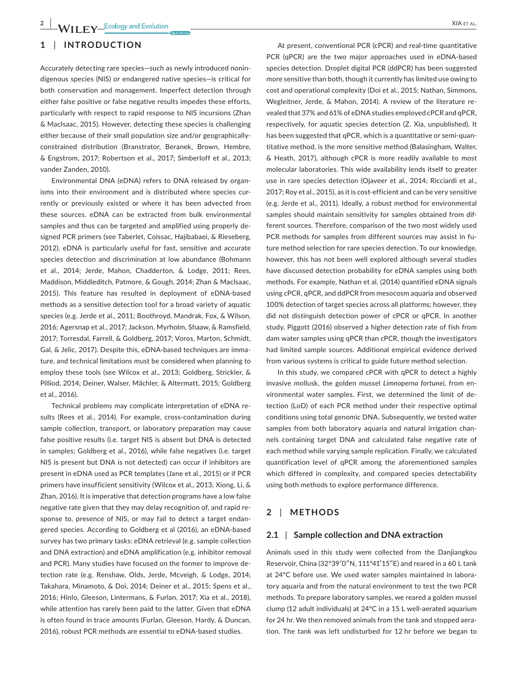# **1** | **INTRODUCTION**

Accurately detecting rare species—such as newly introduced nonin‐ digenous species (NIS) or endangered native species—is critical for both conservation and management. Imperfect detection through either false positive or false negative results impedes these efforts, particularly with respect to rapid response to NIS incursions (Zhan & MacIsaac, 2015). However, detecting these species is challenging either because of their small population size and/or geographically‐ constrained distribution (Branstrator, Beranek, Brown, Hembre, & Engstrom, 2017; Robertson et al., 2017; Simberloff et al., 2013; vander Zanden, 2010).

Environmental DNA (eDNA) refers to DNA released by organ‐ isms into their environment and is distributed where species currently or previously existed or where it has been advected from these sources. eDNA can be extracted from bulk environmental samples and thus can be targeted and amplified using properly de‐ signed PCR primers (see Taberlet, Coissac, Hajibabaei, & Rieseberg, 2012). eDNA is particularly useful for fast, sensitive and accurate species detection and discrimination at low abundance (Bohmann et al., 2014; Jerde, Mahon, Chadderton, & Lodge, 2011; Rees, Maddison, Middleditch, Patmore, & Gough, 2014; Zhan & MacIsaac, 2015). This feature has resulted in deployment of eDNA‐based methods as a sensitive detection tool for a broad variety of aquatic species (e.g. Jerde et al., 2011; Boothroyd, Mandrak, Fox, & Wilson, 2016; Agersnap et al., 2017; Jackson, Myrholm, Shaaw, & Ramsfield, 2017; Torresdal, Farrell, & Goldberg, 2017; Voros, Marton, Schmidt, Gal, & Jelic, 2017). Despite this, eDNA‐based techniques are imma‐ ture, and technical limitations must be considered when planning to employ these tools (see Wilcox et al., 2013; Goldberg, Strickler, & Pilliod, 2014; Deiner, Walser, Mächler, & Altermatt, 2015; Goldberg et al., 2016).

Technical problems may complicate interpretation of eDNA re‐ sults (Rees et al., 2014). For example, cross-contamination during sample collection, transport, or laboratory preparation may cause false positive results (i.e. target NIS is absent but DNA is detected in samples; Goldberg et al., 2016), while false negatives (i.e. target NIS is present but DNA is not detected) can occur if inhibitors are present in eDNA used as PCR templates (Jane et al., 2015) or if PCR primers have insufficient sensitivity (Wilcox et al., 2013; Xiong, Li, & Zhan, 2016). It is imperative that detection programs have a low false negative rate given that they may delay recognition of, and rapid re‐ sponse to, presence of NIS, or may fail to detect a target endan‐ gered species. According to Goldberg et al (2016), an eDNA‐based survey has two primary tasks: eDNA retrieval (e.g. sample collection and DNA extraction) and eDNA amplification (e.g. inhibitor removal and PCR). Many studies have focused on the former to improve de‐ tection rate (e.g. Renshaw, Olds, Jerde, Mcveigh, & Lodge, 2014; Takahara, Minamoto, & Doi, 2014; Deiner et al., 2015; Spens et al., 2016; Hinlo, Gleeson, Lintermans, & Furlan, 2017; Xia et al., 2018), while attention has rarely been paid to the latter. Given that eDNA is often found in trace amounts (Furlan, Gleeson, Hardy, & Duncan, 2016), robust PCR methods are essential to eDNA‐based studies.

At present, conventional PCR (cPCR) and real-time quantitative PCR (qPCR) are the two major approaches used in eDNA‐based species detection. Droplet digital PCR (ddPCR) has been suggested more sensitive than both, though it currently has limited use owing to cost and operational complexity (Doi et al., 2015; Nathan, Simmons, Wegleitner, Jerde, & Mahon, 2014). A review of the literature re‐ vealed that 37% and 61% of eDNA studies employed cPCR and qPCR, respectively, for aquatic species detection (Z. Xia, unpublished). It has been suggested that qPCR, which is a quantitative or semi-quantitative method, is the more sensitive method (Balasingham, Walter, & Heath, 2017), although cPCR is more readily available to most molecular laboratories. This wide availability lends itself to greater use in rare species detection (Ojaveer et al., 2014; Ricciardi et al., 2017; Roy et al., 2015), as it is cost-efficient and can be very sensitive (e.g. Jerde et al., 2011). Ideally, a robust method for environmental samples should maintain sensitivity for samples obtained from dif‐ ferent sources. Therefore, comparison of the two most widely used PCR methods for samples from different sources may assist in fu‐ ture method selection for rare species detection. To our knowledge, however, this has not been well explored although several studies have discussed detection probability for eDNA samples using both methods. For example, Nathan et al. (2014) quantified eDNA signals using cPCR, qPCR, and ddPCR from mesocosm aquaria and observed 100% detection of target species across all platforms; however, they did not distinguish detection power of cPCR or qPCR. In another study, Piggott (2016) observed a higher detection rate of fish from dam water samples using qPCR than cPCR, though the investigators had limited sample sources. Additional empirical evidence derived from various systems is critical to guide future method selection.

In this study, we compared cPCR with qPCR to detect a highly invasive mollusk, the golden mussel *Limnoperna fortunei,* from en‐ vironmental water samples. First, we determined the limit of de‐ tection (LoD) of each PCR method under their respective optimal conditions using total genomic DNA. Subsequently, we tested water samples from both laboratory aquaria and natural irrigation channels containing target DNA and calculated false negative rate of each method while varying sample replication. Finally, we calculated quantification level of qPCR among the aforementioned samples which differed in complexity, and compared species detectability using both methods to explore performance difference.

# **2** | **METHODS**

## **2.1** | **Sample collection and DNA extraction**

Animals used in this study were collected from the Danjiangkou Reservoir, China (32°39′0″N, 111°41′15″E) and reared in a 60 L tank at 24°C before use. We used water samples maintained in labora‐ tory aquaria and from the natural environment to test the two PCR methods. To prepare laboratory samples, we reared a golden mussel clump (12 adult individuals) at 24°C in a 15 L well‐aerated aquarium for 24 hr. We then removed animals from the tank and stopped aera‐ tion. The tank was left undisturbed for 12 hr before we began to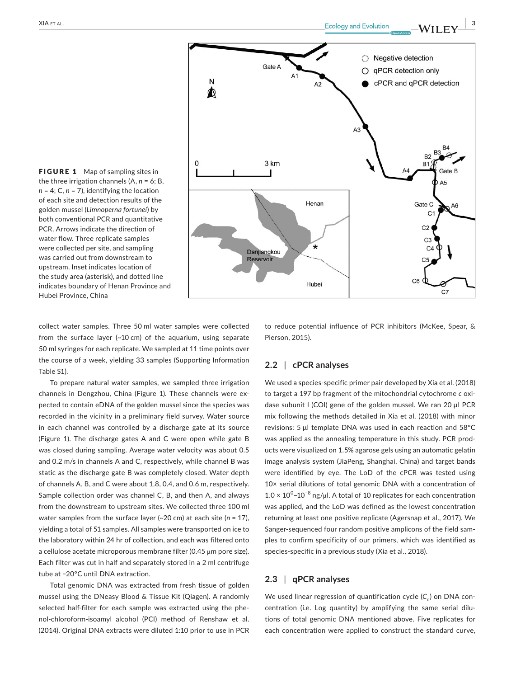FIGURE 1 Map of sampling sites in the three irrigation channels (A, *n* = 6; B, *n* = 4; C, *n* = 7), identifying the location of each site and detection results of the golden mussel (*Limnoperna fortunei*) by both conventional PCR and quantitative PCR. Arrows indicate the direction of water flow. Three replicate samples were collected per site, and sampling was carried out from downstream to upstream. Inset indicates location of the study area (asterisk), and dotted line indicates boundary of Henan Province and Hubei Province, China



collect water samples. Three 50 ml water samples were collected from the surface layer (~10 cm) of the aquarium, using separate 50 ml syringes for each replicate. We sampled at 11 time points over the course of a week, yielding 33 samples (Supporting Information Table S1).

To prepare natural water samples, we sampled three irrigation channels in Dengzhou, China (Figure 1). These channels were ex‐ pected to contain eDNA of the golden mussel since the species was recorded in the vicinity in a preliminary field survey. Water source in each channel was controlled by a discharge gate at its source (Figure 1). The discharge gates A and C were open while gate B was closed during sampling. Average water velocity was about 0.5 and 0.2 m/s in channels A and C, respectively, while channel B was static as the discharge gate B was completely closed. Water depth of channels A, B, and C were about 1.8, 0.4, and 0.6 m, respectively. Sample collection order was channel C, B, and then A, and always from the downstream to upstream sites. We collected three 100 ml water samples from the surface layer (~20 cm) at each site (*n* = 17), yielding a total of 51 samples. All samples were transported on ice to the laboratory within 24 hr of collection, and each was filtered onto a cellulose acetate microporous membrane filter (0.45 μm pore size). Each filter was cut in half and separately stored in a 2 ml centrifuge tube at −20°C until DNA extraction.

Total genomic DNA was extracted from fresh tissue of golden mussel using the DNeasy Blood & Tissue Kit (Qiagen). A randomly selected half-filter for each sample was extracted using the phenol‐chloroform‐isoamyl alcohol (PCI) method of Renshaw et al. (2014). Original DNA extracts were diluted 1:10 prior to use in PCR to reduce potential influence of PCR inhibitors (McKee, Spear, & Pierson, 2015).

# **2.2** | **cPCR analyses**

We used a species‐specific primer pair developed by Xia et al. (2018) to target a 197 bp fragment of the mitochondrial cytochrome *c* oxi‐ dase subunit I (COI) gene of the golden mussel. We ran 20 µl PCR mix following the methods detailed in Xia et al. (2018) with minor revisions: 5 µl template DNA was used in each reaction and 58°C was applied as the annealing temperature in this study. PCR prod‐ ucts were visualized on 1.5% agarose gels using an automatic gelatin image analysis system (JiaPeng, Shanghai, China) and target bands were identified by eye. The LoD of the cPCR was tested using 10× serial dilutions of total genomic DNA with a concentration of  $1.0 \times 10^{0}$ -10<sup>-8</sup> ng/µl. A total of 10 replicates for each concentration was applied, and the LoD was defined as the lowest concentration returning at least one positive replicate (Agersnap et al., 2017). We Sanger-sequenced four random positive amplicons of the field samples to confirm specificity of our primers, which was identified as species‐specific in a previous study (Xia et al., 2018).

# **2.3** | **qPCR analyses**

We used linear regression of quantification cycle (C<sub>q</sub>) on DNA concentration (i.e. Log quantity) by amplifying the same serial dilutions of total genomic DNA mentioned above. Five replicates for each concentration were applied to construct the standard curve,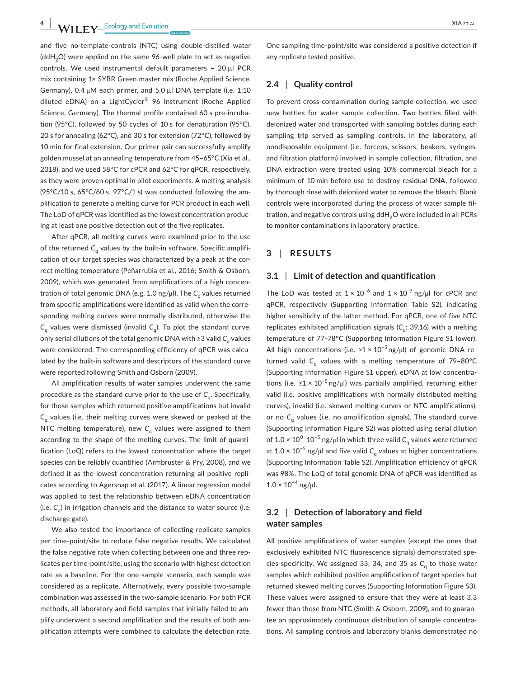and five no-template-controls (NTC) using double-distilled water  $(ddH<sub>2</sub>O)$  were applied on the same 96-well plate to act as negative controls. We used instrumental default parameters – 20 µl PCR mix containing 1× SYBR Green master mix (Roche Applied Science, Germany), 0.4 μM each primer, and 5.0 µl DNA template (i.e. 1:10 diluted eDNA) on a LightCycler® 96 Instrument (Roche Applied Science, Germany). The thermal profile contained 60 s pre-incubation (95°C), followed by 50 cycles of 10 s for denaturation (95°C), 20 s for annealing (62°C), and 30 s for extension (72°C), followed by 10 min for final extension. Our primer pair can successfully amplify golden mussel at an annealing temperature from 45–65°C (Xia et al., 2018), and we used 58°C for cPCR and 62°C for qPCR, respectively, as they were proven optimal in pilot experiments. A melting analysis (95°C/10 s, 65°C/60 s, 97°C/1 s) was conducted following the amplification to generate a melting curve for PCR product in each well. The LoD of qPCR was identified as the lowest concentration produc‐ ing at least one positive detection out of the five replicates.

After qPCR, all melting curves were examined prior to the use of the returned C<sub>a</sub> values by the built-in software. Specific amplification of our target species was characterized by a peak at the correct melting temperature (Peñarrubia et al., 2016; Smith & Osborn, 2009), which was generated from amplifications of a high concen‐ tration of total genomic DNA (e.g. 1.0 ng/μl). The C<sub>a</sub> values returned from specific amplifications were identified as valid when the corre‐ sponding melting curves were normally distributed, otherwise the  $C_a$  values were dismissed (invalid  $C_a$ ). To plot the standard curve, only serial dilutions of the total genomic DNA with ≥3 valid *C*<sup>q</sup> values were considered. The corresponding efficiency of qPCR was calculated by the built-in software and descriptors of the standard curve were reported following Smith and Osborn (2009).

All amplification results of water samples underwent the same procedure as the standard curve prior to the use of C<sub>q</sub>. Specifically, for those samples which returned positive amplifications but invalid *C*<sub>a</sub> values (i.e. their melting curves were skewed or peaked at the NTC melting temperature), new C<sub>q</sub> values were assigned to them according to the shape of the melting curves. The limit of quanti‐ fication (LoQ) refers to the lowest concentration where the target species can be reliably quantified (Armbruster & Pry, 2008), and we defined it as the lowest concentration returning all positive repli‐ cates according to Agersnap et al. (2017). A linear regression model was applied to test the relationship between eDNA concentration (i.e.  $C_{n}$ ) in irrigation channels and the distance to water source (i.e. discharge gate).

We also tested the importance of collecting replicate samples per time-point/site to reduce false negative results. We calculated the false negative rate when collecting between one and three rep‐ licates per time‐point/site, using the scenario with highest detection rate as a baseline. For the one‐sample scenario, each sample was considered as a replicate. Alternatively, every possible two‐sample combination was assessed in the two‐sample scenario. For both PCR methods, all laboratory and field samples that initially failed to am‐ plify underwent a second amplification and the results of both am‐ plification attempts were combined to calculate the detection rate.

One sampling time‐point/site was considered a positive detection if any replicate tested positive.

# **2.4** | **Quality control**

To prevent cross‐contamination during sample collection, we used new bottles for water sample collection. Two bottles filled with deionized water and transported with sampling bottles during each sampling trip served as sampling controls. In the laboratory, all nondisposable equipment (i.e. forceps, scissors, beakers, syringes, and filtration platform) involved in sample collection, filtration, and DNA extraction were treated using 10% commercial bleach for a minimum of 10 min before use to destroy residual DNA, followed by thorough rinse with deionized water to remove the bleach. Blank controls were incorporated during the process of water sample fil‐ tration, and negative controls using ddH<sub>2</sub>O were included in all PCRs to monitor contaminations in laboratory practice.

# **3** | **RESULTS**

## **3.1** | **Limit of detection and quantification**

The LoD was tested at  $1 \times 10^{-6}$  and  $1 \times 10^{-7}$  ng/µl for cPCR and qPCR, respectively (Supporting Information Table S2), indicating higher sensitivity of the latter method. For qPCR, one of five NTC replicates exhibited amplification signals (C<sub>a</sub>: 39.16) with a melting temperature of 77–78°C (Supporting Information Figure S1 lower). All high concentrations (i.e. >1 × 10<sup>-5</sup> ng/µl) of genomic DNA returned valid C<sub>a</sub> values with a melting temperature of 79-80°C (Supporting Information Figure S1 upper). eDNA at low concentra‐ tions (i.e.  $\leq 1 \times 10^{-5}$  ng/µl) was partially amplified, returning either valid (i.e. positive amplifications with normally distributed melting curves), invalid (i.e. skewed melting curves or NTC amplifications), or no C<sub>a</sub> values (i.e. no amplification signals). The standard curve (Supporting Information Figure S2) was plotted using serial dilution of 1.0 × 10 $^{\rm 0}$ –10 $^{\rm -5}$  ng/ $\mu$ l in which three valid  ${\sf C}_{\sf q}$  values were returned at 1.0 <sup>×</sup> <sup>10</sup>−5 ng/μ<sup>l</sup> and five valid *<sup>C</sup>*<sup>q</sup> values at higher concentrations (Supporting Information Table S2). Amplification efficiency of qPCR was 98%. The LoQ of total genomic DNA of qPCR was identified as  $1.0 \times 10^{-4}$  ng/μl.

# **3.2** | **Detection of laboratory and field water samples**

All positive amplifications of water samples (except the ones that exclusively exhibited NTC fluorescence signals) demonstrated spe‐ cies-specificity. We assigned 33, 34, and 35 as C<sub>a</sub> to those water samples which exhibited positive amplification of target species but returned skewed melting curves (Supporting Information Figure S3). These values were assigned to ensure that they were at least 3.3 fewer than those from NTC (Smith & Osborn, 2009), and to guarantee an approximately continuous distribution of sample concentra‐ tions. All sampling controls and laboratory blanks demonstrated no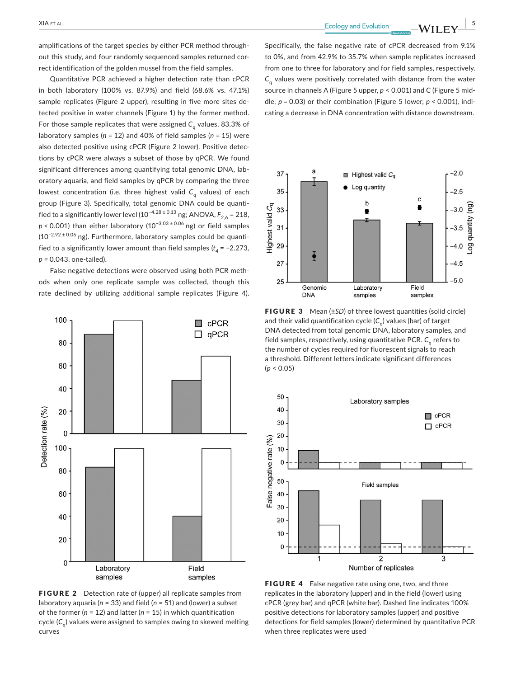amplifications of the target species by either PCR method through‐ out this study, and four randomly sequenced samples returned correct identification of the golden mussel from the field samples.

Quantitative PCR achieved a higher detection rate than cPCR in both laboratory (100% vs. 87.9%) and field (68.6% vs. 47.1%) sample replicates (Figure 2 upper), resulting in five more sites de‐ tected positive in water channels (Figure 1) by the former method. For those sample replicates that were assigned  $C<sub>a</sub>$  values, 83.3% of laboratory samples (*n* = 12) and 40% of field samples (*n* = 15) were also detected positive using cPCR (Figure 2 lower). Positive detec‐ tions by cPCR were always a subset of those by qPCR. We found significant differences among quantifying total genomic DNA, laboratory aquaria, and field samples by qPCR by comparing the three lowest concentration (i.e. three highest valid C<sub>a</sub> values) of each group (Figure 3). Specifically, total genomic DNA could be quanti‐ fied to a significantly lower level (10<sup>-4.28 ± 0.13</sup> ng; ANOVA,  $F_{2,6}$  = 218, *p* < 0.001) than either laboratory (10<sup>-3.03±0.06</sup> ng) or field samples (10−2.92 <sup>±</sup> 0.06 ng). Furthermore, laboratory samples could be quanti‐ fied to a significantly lower amount than field samples  $(t_4 = -2.273,$ *p =* 0.043, one‐tailed).

False negative detections were observed using both PCR meth‐ ods when only one replicate sample was collected, though this rate declined by utilizing additional sample replicates (Figure 4).



**FIGURE 2** Detection rate of (upper) all replicate samples from laboratory aquaria (*n* = 33) and field (*n* = 51) and (lower) a subset of the former (*n* = 12) and latter (*n* = 15) in which quantification cycle (C<sub>a</sub>) values were assigned to samples owing to skewed melting curves

Specifically, the false negative rate of cPCR decreased from 9.1% to 0%, and from 42.9% to 35.7% when sample replicates increased from one to three for laboratory and for field samples, respectively. *C*<sub>a</sub> values were positively correlated with distance from the water source in channels A (Figure 5 upper, *p* < 0.001) and C (Figure 5 mid‐ dle, *p =* 0.03) or their combination (Figure 5 lower, *p* < 0.001), indi‐ cating a decrease in DNA concentration with distance downstream.



FIGURE 3 Mean (±*SD*) of three lowest quantities (solid circle) and their valid quantification cycle (C<sub>a</sub>) values (bar) of target DNA detected from total genomic DNA, laboratory samples, and field samples, respectively, using quantitative PCR. C<sub>a</sub> refers to the number of cycles required for fluorescent signals to reach a threshold. Different letters indicate significant differences (*p* < 0.05)



FIGURE 4 False negative rate using one, two, and three replicates in the laboratory (upper) and in the field (lower) using cPCR (grey bar) and qPCR (white bar). Dashed line indicates 100% positive detections for laboratory samples (upper) and positive detections for field samples (lower) determined by quantitative PCR when three replicates were used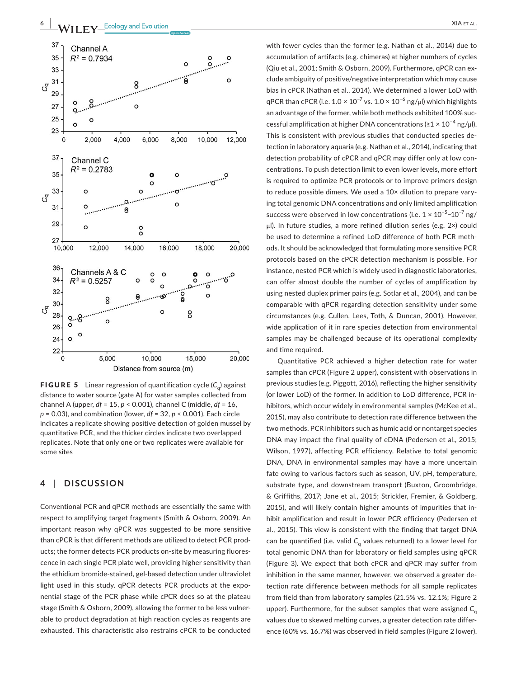

**FIGURE 5** Linear regression of quantification cycle  $(C_{q})$  against distance to water source (gate A) for water samples collected from channel A (upper, *df* = 15, *p* < 0.001), channel C (middle, *df* = 16, *p* = 0.03), and combination (lower, *df* = 32, *p* < 0.001). Each circle indicates a replicate showing positive detection of golden mussel by quantitative PCR, and the thicker circles indicate two overlapped replicates. Note that only one or two replicates were available for some sites

# **4** | **DISCUSSION**

Conventional PCR and qPCR methods are essentially the same with respect to amplifying target fragments (Smith & Osborn, 2009). An important reason why qPCR was suggested to be more sensitive than cPCR is that different methods are utilized to detect PCR prod‐ ucts; the former detects PCR products on‐site by measuring fluores‐ cence in each single PCR plate well, providing higher sensitivity than the ethidium bromide‐stained, gel‐based detection under ultraviolet light used in this study. qPCR detects PCR products at the exponential stage of the PCR phase while cPCR does so at the plateau stage (Smith & Osborn, 2009), allowing the former to be less vulner‐ able to product degradation at high reaction cycles as reagents are exhausted. This characteristic also restrains cPCR to be conducted with fewer cycles than the former (e.g. Nathan et al., 2014) due to accumulation of artifacts (e.g. chimeras) at higher numbers of cycles (Qiu et al., 2001; Smith & Osborn, 2009). Furthermore, qPCR can ex‐ clude ambiguity of positive/negative interpretation which may cause bias in cPCR (Nathan et al., 2014). We determined a lower LoD with qPCR than cPCR (i.e.  $1.0 \times 10^{-7}$  vs.  $1.0 \times 10^{-6}$  ng/ $\mu$ l) which highlights an advantage of the former, while both methods exhibited 100% successful amplification at higher DNA concentrations (≥1  $\times$  10<sup>-4</sup> ng/ul). This is consistent with previous studies that conducted species de‐ tection in laboratory aquaria (e.g. Nathan et al., 2014), indicating that detection probability of cPCR and qPCR may differ only at low con‐ centrations. To push detection limit to even lower levels, more effort is required to optimize PCR protocols or to improve primers design to reduce possible dimers. We used a 10× dilution to prepare vary‐ ing total genomic DNA concentrations and only limited amplification success were observed in low concentrations (i.e.  $1 \times 10^{-5}$ – $10^{-7}$  ng/ μl). In future studies, a more refined dilution series (e.g. 2×) could be used to determine a refined LoD difference of both PCR meth‐ ods. It should be acknowledged that formulating more sensitive PCR protocols based on the cPCR detection mechanism is possible. For instance, nested PCR which is widely used in diagnostic laboratories, can offer almost double the number of cycles of amplification by using nested duplex primer pairs (e.g. Sotlar et al., 2004), and can be comparable with qPCR regarding detection sensitivity under some circumstances (e.g. Cullen, Lees, Toth, & Duncan, 2001). However, wide application of it in rare species detection from environmental samples may be challenged because of its operational complexity and time required.

Quantitative PCR achieved a higher detection rate for water samples than cPCR (Figure 2 upper), consistent with observations in previous studies (e.g. Piggott, 2016), reflecting the higher sensitivity (or lower LoD) of the former. In addition to LoD difference, PCR in‐ hibitors, which occur widely in environmental samples (McKee et al., 2015), may also contribute to detection rate difference between the two methods. PCR inhibitors such as humic acid or nontarget species DNA may impact the final quality of eDNA (Pedersen et al., 2015; Wilson, 1997), affecting PCR efficiency. Relative to total genomic DNA, DNA in environmental samples may have a more uncertain fate owing to various factors such as season, UV, pH, temperature, substrate type, and downstream transport (Buxton, Groombridge, & Griffiths, 2017; Jane et al., 2015; Strickler, Fremier, & Goldberg, 2015), and will likely contain higher amounts of impurities that in‐ hibit amplification and result in lower PCR efficiency (Pedersen et al., 2015). This view is consistent with the finding that target DNA can be quantified (i.e. valid *C*<sup>q</sup> values returned) to a lower level for total genomic DNA than for laboratory or field samples using qPCR (Figure 3). We expect that both cPCR and qPCR may suffer from inhibition in the same manner, however, we observed a greater detection rate difference between methods for all sample replicates from field than from laboratory samples (21.5% vs. 12.1%; Figure 2 upper). Furthermore, for the subset samples that were assigned C<sub>q</sub> values due to skewed melting curves, a greater detection rate differ‐ ence (60% vs. 16.7%) was observed in field samples (Figure 2 lower).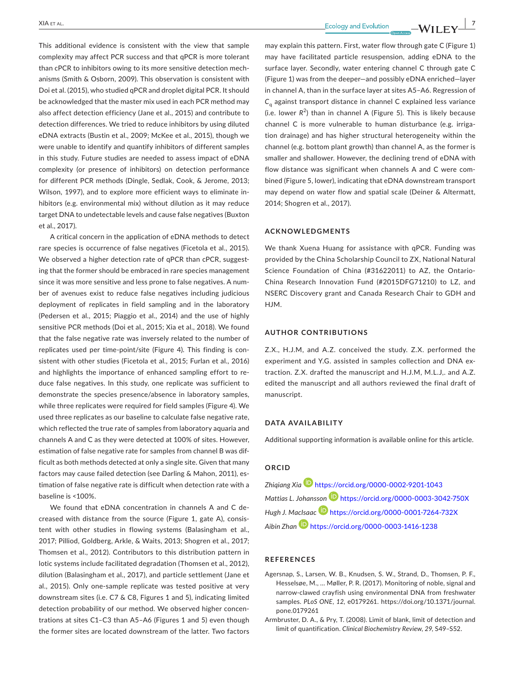This additional evidence is consistent with the view that sample complexity may affect PCR success and that qPCR is more tolerant than cPCR to inhibitors owing to its more sensitive detection mech‐ anisms (Smith & Osborn, 2009). This observation is consistent with Doi et al. (2015), who studied qPCR and droplet digital PCR. It should be acknowledged that the master mix used in each PCR method may also affect detection efficiency (Jane et al., 2015) and contribute to detection differences. We tried to reduce inhibitors by using diluted eDNA extracts (Bustin et al., 2009; McKee et al., 2015), though we were unable to identify and quantify inhibitors of different samples in this study. Future studies are needed to assess impact of eDNA complexity (or presence of inhibitors) on detection performance for different PCR methods (Dingle, Sedlak, Cook, & Jerome, 2013; Wilson, 1997), and to explore more efficient ways to eliminate in‐ hibitors (e.g. environmental mix) without dilution as it may reduce target DNA to undetectable levels and cause false negatives (Buxton et al., 2017).

A critical concern in the application of eDNA methods to detect rare species is occurrence of false negatives (Ficetola et al., 2015). We observed a higher detection rate of qPCR than cPCR, suggesting that the former should be embraced in rare species management since it was more sensitive and less prone to false negatives. A num‐ ber of avenues exist to reduce false negatives including judicious deployment of replicates in field sampling and in the laboratory (Pedersen et al., 2015; Piaggio et al., 2014) and the use of highly sensitive PCR methods (Doi et al., 2015; Xia et al., 2018). We found that the false negative rate was inversely related to the number of replicates used per time‐point/site (Figure 4). This finding is con‐ sistent with other studies (Ficetola et al., 2015; Furlan et al., 2016) and highlights the importance of enhanced sampling effort to re‐ duce false negatives. In this study, one replicate was sufficient to demonstrate the species presence/absence in laboratory samples, while three replicates were required for field samples (Figure 4). We used three replicates as our baseline to calculate false negative rate, which reflected the true rate of samples from laboratory aquaria and channels A and C as they were detected at 100% of sites. However, estimation of false negative rate for samples from channel B was dif‐ ficult as both methods detected at only a single site. Given that many factors may cause failed detection (see Darling & Mahon, 2011), es‐ timation of false negative rate is difficult when detection rate with a baseline is <100%.

We found that eDNA concentration in channels A and C de‐ creased with distance from the source (Figure 1, gate A), consis‐ tent with other studies in flowing systems (Balasingham et al., 2017; Pilliod, Goldberg, Arkle, & Waits, 2013; Shogren et al., 2017; Thomsen et al., 2012). Contributors to this distribution pattern in lotic systems include facilitated degradation (Thomsen et al., 2012), dilution (Balasingham et al., 2017), and particle settlement (Jane et al., 2015). Only one‐sample replicate was tested positive at very downstream sites (i.e. C7 & C8, Figures 1 and 5), indicating limited detection probability of our method. We observed higher concen‐ trations at sites C1–C3 than A5–A6 (Figures 1 and 5) even though the former sites are located downstream of the latter. Two factors

 $\frac{\text{XIA ET AL.}}{\text{Ecology and Evolution}}$   $\frac{\text{Ecology and Evolution}}{\text{Ecoly}}$   $\frac{\text{WII FV}^{-1}}{\text{EV}}$ 

may explain this pattern. First, water flow through gate C (Figure 1) may have facilitated particle resuspension, adding eDNA to the surface layer. Secondly, water entering channel C through gate C (Figure 1) was from the deeper—and possibly eDNA enriched—layer in channel A, than in the surface layer at sites A5–A6. Regression of *C*<sup>q</sup> against transport distance in channel C explained less variance (i.e. lower  $R^2$ ) than in channel A (Figure 5). This is likely because channel C is more vulnerable to human disturbance (e.g. irriga‐ tion drainage) and has higher structural heterogeneity within the channel (e.g. bottom plant growth) than channel A, as the former is smaller and shallower. However, the declining trend of eDNA with flow distance was significant when channels A and C were combined (Figure 5, lower), indicating that eDNA downstream transport may depend on water flow and spatial scale (Deiner & Altermatt, 2014; Shogren et al., 2017).

# **ACKNOWLEDGMENTS**

We thank Xuena Huang for assistance with qPCR. Funding was provided by the China Scholarship Council to ZX, National Natural Science Foundation of China (#31622011) to AZ, the Ontario‐ China Research Innovation Fund (#2015DFG71210) to LZ, and NSERC Discovery grant and Canada Research Chair to GDH and HJM.

#### **AUTHOR CONTRIBUTIONS**

Z.X., H.J.M, and A.Z. conceived the study. Z.X. performed the experiment and Y.G. assisted in samples collection and DNA extraction. Z.X. drafted the manuscript and H.J.M, M.L.J,. and A.Z. edited the manuscript and all authors reviewed the final draft of manuscript.

## **DATA AVAILABILITY**

Additional supporting information is available online for this article.

## **ORCID**

*Zhiqiang Xi[a](https://orcid.org/0000-0002-9201-1043)* <https://orcid.org/0000-0002-9201-1043> *Mattias L. Johansso[n](https://orcid.org/0000-0003-3042-750X)* <https://orcid.org/0000-0003-3042-750X> *Hugh J. MacIsaa[c](https://orcid.org/0000-0001-7264-732X)* <https://orcid.org/0000-0001-7264-732X> *Aibin Zhan* <https://orcid.org/0000-0003-1416-1238>

### **REFERENCES**

- Agersnap, S., Larsen, W. B., Knudsen, S. W., Strand, D., Thomsen, P. F., Hesselsøe, M., … Møller, P. R. (2017). Monitoring of noble, signal and narrow‐clawed crayfish using environmental DNA from freshwater samples. *PLoS ONE*, *12*, e0179261. [https://doi.org/10.1371/journal.](https://doi.org/10.1371/journal.pone.0179261) [pone.0179261](https://doi.org/10.1371/journal.pone.0179261)
- Armbruster, D. A., & Pry, T. (2008). Limit of blank, limit of detection and limit of quantification. *Clinical Biochemistry Review*, *29*, S49–S52.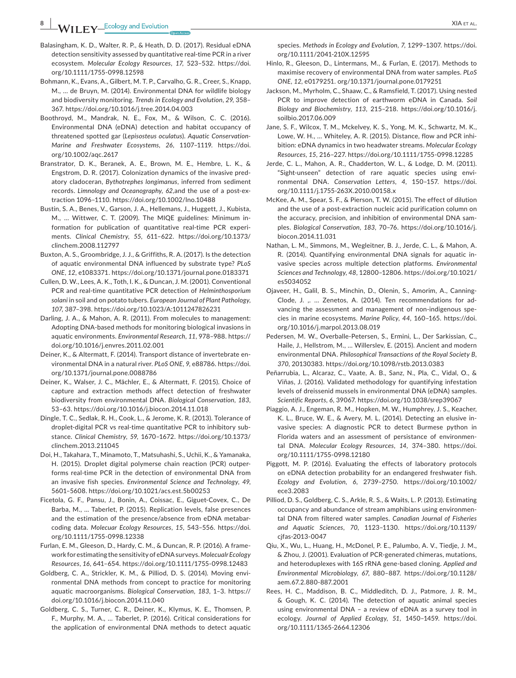- Balasingham, K. D., Walter, R. P., & Heath, D. D. (2017). Residual eDNA detection sensitivity assessed by quantitative real‐time PCR in a river ecosystem. *Molecular Ecology Resources*, *17*, 523–532. [https://doi.](https://doi.org/10.1111/1755-0998.12598) [org/10.1111/1755-0998.12598](https://doi.org/10.1111/1755-0998.12598)
- Bohmann, K., Evans, A., Gilbert, M. T. P., Carvalho, G. R., Creer, S., Knapp, M., … de Bruyn, M. (2014). Environmental DNA for wildlife biology and biodiversity monitoring. *Trends in Ecology and Evolution*, *29*, 358– 367. <https://doi.org/10.1016/j.tree.2014.04.003>
- Boothroyd, M., Mandrak, N. E., Fox, M., & Wilson, C. C. (2016). Environmental DNA (eDNA) detection and habitat occupancy of threatened spotted gar (*Lepisosteus oculatus*). *Aquatic Conservation‐ Marine and Freshwater Ecosystems*, *26*, 1107–1119. [https://doi.](https://doi.org/10.1002/aqc.2617) [org/10.1002/aqc.2617](https://doi.org/10.1002/aqc.2617)
- Branstrator, D. K., Beranek, A. E., Brown, M. E., Hembre, L. K., & Engstrom, D. R. (2017). Colonization dynamics of the invasive pred‐ atory cladoceran, *Bythotrephes longimanus*, inferred from sediment records. Limnology and Oceanography, 62, and the use of a post-extraction 1096–1110. <https://doi.org/10.1002/lno.10488>
- Bustin, S. A., Benes, V., Garson, J. A., Hellemans, J., Huggett, J., Kubista, M., … Wittwer, C. T. (2009). The MIQE guidelines: Minimum in‐ formation for publication of quantitative real-time PCR experiments. *Clinical Chemistry*, *55*, 611–622. [https://doi.org/10.1373/](https://doi.org/10.1373/clinchem.2008.112797) [clinchem.2008.112797](https://doi.org/10.1373/clinchem.2008.112797)
- Buxton, A. S., Groombridge, J. J., & Griffiths, R. A. (2017). Is the detection of aquatic environmental DNA influenced by substrate type? *PLoS ONE*, *12*, e1083371. <https://doi.org/10.1371/journal.pone.0183371>
- Cullen, D. W., Lees, A. K., Toth, I. K., & Duncan, J. M. (2001). Conventional PCR and real‐time quantitative PCR detection of *Helminthosporium solani* in soil and on potato tubers. *European Journal of Plant Pathology*, *107*, 387–398. <https://doi.org/10.1023/A:1011247826231>
- Darling, J. A., & Mahon, A. R. (2011). From molecules to management: Adopting DNA‐based methods for monitoring biological invasions in aquatic environments. *Environmental Research*, *11*, 978–988. [https://](https://doi.org/10.1016/j.envres.2011.02.001) [doi.org/10.1016/j.envres.2011.02.001](https://doi.org/10.1016/j.envres.2011.02.001)
- Deiner, K., & Altermatt, F. (2014). Transport distance of invertebrate en‐ vironmental DNA in a natural river. *PLoS ONE*, *9*, e88786. [https://doi.](https://doi.org/10.1371/journal.pone.0088786) [org/10.1371/journal.pone.0088786](https://doi.org/10.1371/journal.pone.0088786)
- Deiner, K., Walser, J. C., Mächler, E., & Altermatt, F. (2015). Choice of capture and extraction methods affect detection of freshwater biodiversity from environmental DNA. *Biological Conservation*, *183*, 53–63. <https://doi.org/10.1016/j.biocon.2014.11.018>
- Dingle, T. C., Sedlak, R. H., Cook, L., & Jerome, K. R. (2013). Tolerance of droplet-digital PCR vs real-time quantitative PCR to inhibitory substance. *Clinical Chemistry*, *59*, 1670–1672. [https://doi.org/10.1373/](https://doi.org/10.1373/clinchem.2013.211045) [clinchem.2013.211045](https://doi.org/10.1373/clinchem.2013.211045)
- Doi, H., Takahara, T., Minamoto, T., Matsuhashi, S., Uchii, K., & Yamanaka, H. (2015). Droplet digital polymerse chain reaction (PCR) outper‐ forms real-time PCR in the detection of environmental DNA from an invasive fish species. *Environmental Science and Technology*, *49*, 5601–5608. <https://doi.org/10.1021/acs.est.5b00253>
- Ficetola, G. F., Pansu, J., Bonin, A., Coissac, E., Giguet‐Covex, C., De Barba, M., … Taberlet, P. (2015). Replication levels, false presences and the estimation of the presence/absence from eDNA metabar‐ coding data. *Molecuar Ecology Resources*, *15*, 543–556. [https://doi.](https://doi.org/10.1111/1755-0998.12338) [org/10.1111/1755-0998.12338](https://doi.org/10.1111/1755-0998.12338)
- Furlan, E. M., Gleeson, D., Hardy, C. M., & Duncan, R. P. (2016). A frame‐ work for estimating the sensitivity of eDNAsurveys. *Molecualr Ecology Resources*, *16*, 641–654. <https://doi.org/10.1111/1755-0998.12483>
- Goldberg, C. A., Strickler, K. M., & Pilliod, D. S. (2014). Moving envi‐ ronmental DNA methods from concept to practice for monitoring aquatic macroorganisms. *Biological Conservation*, *183*, 1–3. [https://](https://doi.org/10.1016/j.biocon.2014.11.040) [doi.org/10.1016/j.biocon.2014.11.040](https://doi.org/10.1016/j.biocon.2014.11.040)
- Goldberg, C. S., Turner, C. R., Deiner, K., Klymus, K. E., Thomsen, P. F., Murphy, M. A., … Taberlet, P. (2016). Critical considerations for the application of environmental DNA methods to detect aquatic

species. *Methods in Ecology and Evolution*, *7*, 1299–1307. [https://doi.](https://doi.org/10.1111/2041-210X.12595) [org/10.1111/2041-210X.12595](https://doi.org/10.1111/2041-210X.12595)

- Hinlo, R., Gleeson, D., Lintermans, M., & Furlan, E. (2017). Methods to maximise recovery of environmental DNA from water samples. *PLoS ONE*, *12*, e0179251. <org/10.1371/journal.pone.0179251>
- Jackson, M., Myrholm, C., Shaaw, C., & Ramsfield, T. (2017). Using nested PCR to improve detection of earthworm eDNA in Canada. *Soil Biology and Biochemistry*, *113*, 215–218. [https://doi.org/10.1016/j.](https://doi.org/10.1016/j.soilbio.2017.06.009) [soilbio.2017.06.009](https://doi.org/10.1016/j.soilbio.2017.06.009)
- Jane, S. F., Wilcox, T. M., Mckelvey, K. S., Yong, M. K., Schwartz, M. K., Lowe, W. H., ... Whiteley, A. R. (2015). Distance, flow and PCR inhibition: eDNA dynamics in two headwater streams. *Molecular Ecology Resources*, *15*, 216–227. <https://doi.org/10.1111/1755-0998.12285>
- Jerde, C. L., Mahon, A. R., Chadderton, W. L., & Lodge, D. M. (2011). "Sight‐unseen" detection of rare aquatic species using envi‐ ronmental DNA. *Conservation Letters*, *4*, 150–157. [https://doi.](https://doi.org/10.1111/j.1755-263X.2010.00158.x) [org/10.1111/j.1755-263X.2010.00158.x](https://doi.org/10.1111/j.1755-263X.2010.00158.x)
- McKee, A. M., Spear, S. F., & Pierson, T. W. (2015). The effect of dilution and the use of a post‐extraction nucleic acid purification column on the accuracy, precision, and inhibition of environmental DNA sam‐ ples. *Biological Conservation*, *183*, 70–76. [https://doi.org/10.1016/j.](https://doi.org/10.1016/j.biocon.2014.11.031) [biocon.2014.11.031](https://doi.org/10.1016/j.biocon.2014.11.031)
- Nathan, L. M., Simmons, M., Wegleitner, B. J., Jerde, C. L., & Mahon, A. R. (2014). Quantifying environmental DNA signals for aquatic in‐ vasive species across multiple detection platforms. *Environmental Sciences and Technology*, *48*, 12800–12806. [https://doi.org/10.1021/](https://doi.org/10.1021/es5034052) [es5034052](https://doi.org/10.1021/es5034052)
- Ojaveer, H., Galil, B. S., Minchin, D., Olenin, S., Amorim, A., Canning‐ Clode, J. ,. ... Zenetos, A. (2014). Ten recommendations for advancing the assessment and management of non‐indigenous spe‐ cies in marine ecosystems. *Marine Policy*, *44*, 160–165. [https://doi.](https://doi.org/10.1016/j.marpol.2013.08.019) [org/10.1016/j.marpol.2013.08.019](https://doi.org/10.1016/j.marpol.2013.08.019)
- Pedersen, M. W., Overballe‐Petersen, S., Ermini, L., Der Sarkissian, C., Haile, J., Hellstrom, M., … Willerslev, E. (2015). Ancient and modern environmental DNA. *Philosophical Transactions of the Royal Society B*, *370*, 20130383. <https://doi.org/10.1098/rstb.2013.0383>
- Peñarrubia, L., Alcaraz, C., Vaate, A. B., Sanz, N., Pla, C., Vidal, O., & Viñas, J. (2016). Validated methodology for quantifying infestation levels of dreissenid mussels in environmental DNA (eDNA) samples. *Scientific Reports*, *6*, 39067. <https://doi.org/10.1038/srep39067>
- Piaggio, A. J., Engeman, R. M., Hopken, M. W., Humphrey, J. S., Keacher, K. L., Bruce, W. E., & Avery, M. L. (2014). Detecting an elusive in‐ vasive species: A diagnostic PCR to detect Burmese python in Florida waters and an assessment of persistance of environmen‐ tal DNA. *Molecular Ecology Resources*, *14*, 374–380. [https://doi.](https://doi.org/10.1111/1755-0998.12180) [org/10.1111/1755-0998.12180](https://doi.org/10.1111/1755-0998.12180)
- Piggott, M. P. (2016). Evaluating the effects of laboratory protocols on eDNA detection probability for an endangered freshwater fish. *Ecology and Evolution*, *6*, 2739–2750. [https://doi.org/10.1002/](https://doi.org/10.1002/ece3.2083) [ece3.2083](https://doi.org/10.1002/ece3.2083)
- Pilliod, D. S., Goldberg, C. S., Arkle, R. S., & Waits, L. P. (2013). Estimating occupancy and abundance of stream amphibians using environmen‐ tal DNA from filtered water samples. *Canadian Journal of Fisheries and Aquatic Sciences*, *70*, 1123–1130. [https://doi.org/10.1139/](https://doi.org/10.1139/cjfas-2013-0047) cifas-2013-0047
- Qiu, X., Wu, L., Huang, H., McDonel, P. E., Palumbo, A. V., Tiedje, J. M., & Zhou, J. (2001). Evaluation of PCR‐generated chimeras, mutations, and heteroduplexes with 16S rRNA gene‐based cloning. *Applied and Environmental Microbiology*, *67*, 880–887. [https://doi.org/10.1128/](https://doi.org/10.1128/aem.67.2.880-887.2001) [aem.67.2.880-887.2001](https://doi.org/10.1128/aem.67.2.880-887.2001)
- Rees, H. C., Maddison, B. C., Middleditch, D. J., Patmore, J. R. M., & Gough, K. C. (2014). The detection of aquatic animal species using environmental DNA – a review of eDNA as a survey tool in ecology. *Journal of Applied Ecology*, *51*, 1450–1459. [https://doi.](https://doi.org/10.1111/1365-2664.12306) [org/10.1111/1365-2664.12306](https://doi.org/10.1111/1365-2664.12306)